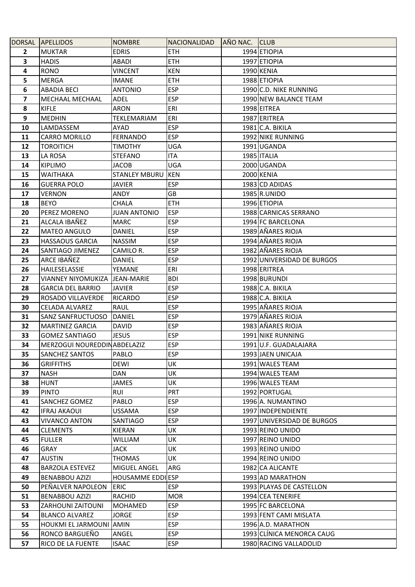|                         | DORSAL APELLIDOS                | <b>NOMBRE</b>            | NACIONALIDAD | AÑO NAC. CLUB |                            |
|-------------------------|---------------------------------|--------------------------|--------------|---------------|----------------------------|
| $\mathbf{2}$            | <b>MUKTAR</b>                   | <b>EDRIS</b>             | <b>ETH</b>   |               | 1994 ETIOPIA               |
| 3                       | <b>HADIS</b>                    | <b>ABADI</b>             | <b>ETH</b>   |               | 1997 ETIOPIA               |
| 4                       | <b>RONO</b>                     | <b>VINCENT</b>           | <b>KEN</b>   |               | 1990 KENIA                 |
| 5                       | MERGA                           | <b>IMANE</b>             | <b>ETH</b>   |               | 1988 ETIOPIA               |
| 6                       | <b>ABADIA BECI</b>              | <b>ANTONIO</b>           | <b>ESP</b>   |               | 1990 C.D. NIKE RUNNING     |
| $\overline{\mathbf{z}}$ | MECHAAL MECHAAL                 | <b>ADEL</b>              | <b>ESP</b>   |               | 1990 NEW BALANCE TEAM      |
| 8                       | <b>KIFLE</b>                    | <b>ARON</b>              | ERI          |               | 1998 EITREA                |
| 9                       | <b>MEDHIN</b>                   | <b>TEKLEMARIAM</b>       | ERI          |               | 1987 ERITREA               |
| 10                      | LAMDASSEM                       | <b>AYAD</b>              | <b>ESP</b>   |               | 1981 C.A. BIKILA           |
| 11                      | <b>CARRO MORILLO</b>            | <b>FERNANDO</b>          | <b>ESP</b>   |               | 1992 NIKE RUNNING          |
| 12                      | TOROITICH                       | <b>TIMOTHY</b>           | UGA          |               | 1991 UGANDA                |
| 13                      | LA ROSA                         | <b>STEFANO</b>           | <b>ITA</b>   |               | 1985 ITALIA                |
| 14                      | <b>KIPLIMO</b>                  | <b>JACOB</b>             | UGA          |               | 2000 UGANDA                |
| 15                      | <b>WAITHAKA</b>                 | <b>STANLEY MBURU</b>     | <b>KEN</b>   |               | 2000 KENIA                 |
| 16                      | <b>GUERRA POLO</b>              | <b>JAVIER</b>            | <b>ESP</b>   |               | 1983 CD ADIDAS             |
| 17                      | <b>VERNON</b>                   | ANDY                     | GB.          |               | 1985 R.UNIDO               |
| 18                      | <b>BEYO</b>                     | <b>CHALA</b>             | <b>ETH</b>   |               | 1996 ETIOPIA               |
| 20                      | PEREZ MORENO                    | <b>JUAN ANTONIO</b>      | <b>ESP</b>   |               | 1988 CARNICAS SERRANO      |
| 21                      | ALCALA IBAÑEZ                   | <b>MARC</b>              | <b>ESP</b>   |               | 1994 FC BARCELONA          |
| 22                      | <b>MATEO ANGULO</b>             | <b>DANIEL</b>            | <b>ESP</b>   |               | 1989 AÑARES RIOJA          |
| 23                      | <b>HASSAOUS GARCIA</b>          | <b>NASSIM</b>            | <b>ESP</b>   |               | 1994 AÑARES RIOJA          |
| 24                      | SANTIAGO JIMENEZ                | CAMILO R.                | <b>ESP</b>   |               | 1982 AÑARES RIOJA          |
| 25                      | ARCE IBAÑEZ                     | <b>DANIEL</b>            | <b>ESP</b>   |               | 1992 UNIVERSIDAD DE BURGOS |
| 26                      | HAILESELASSIE                   | <b>YEMANE</b>            | ERI          |               | 1998 ERITREA               |
| 27                      | VIANNEY NIYOMUKIZA   JEAN-MARIE |                          | <b>BDI</b>   |               | 1998 BURUNDI               |
| 28                      | <b>GARCIA DEL BARRIO</b>        | <b>JAVIER</b>            | <b>ESP</b>   |               | 1988 C.A. BIKILA           |
| 29                      | ROSADO VILLAVERDE               | <b>RICARDO</b>           | <b>ESP</b>   |               | 1988 C.A. BIKILA           |
| 30                      | <b>CELADA ALVAREZ</b>           | <b>RAUL</b>              | <b>ESP</b>   |               | 1995 AÑARES RIOJA          |
| 31                      | SANZ SANFRUCTUOSO               | DANIEL                   | <b>ESP</b>   |               | 1979 AÑARES RIOJA          |
| 32                      | <b>MARTINEZ GARCIA</b>          | <b>DAVID</b>             | <b>ESP</b>   |               | 1983 AÑARES RIOJA          |
| 33                      | <b>GOMEZ SANTIAGO</b>           | <b>JESUS</b>             | <b>ESP</b>   |               | 1991 NIKE RUNNING          |
| 34                      | MERZOGUI NOUREDDINABDELAZIZ     |                          | <b>ESP</b>   |               | 1991 U.F. GUADALAJARA      |
| 35                      | <b>SANCHEZ SANTOS</b>           | <b>PABLO</b>             | <b>ESP</b>   |               | 1993 JAEN UNICAJA          |
| 36                      | <b>GRIFFITHS</b>                | DEWI                     | UK           |               | 1991 WALES TEAM            |
| 37                      | NASH                            | DAN                      | UK           |               | 1994 WALES TEAM            |
| 38                      | <b>HUNT</b>                     | <b>JAMES</b>             | UK           |               | 1996 WALES TEAM            |
| 39                      | <b>PINTO</b>                    | <b>RUI</b>               | <b>PRT</b>   |               | 1992 PORTUGAL              |
| 41                      | SANCHEZ GOMEZ                   | PABLO                    | <b>ESP</b>   |               | 1996 A. NUMANTINO          |
| 42                      | <b>IFRAJ AKAOUI</b>             | USSAMA                   | <b>ESP</b>   |               | 1997 INDEPENDIENTE         |
| 43                      | <b>VIVANCO ANTON</b>            | SANTIAGO                 | <b>ESP</b>   |               | 1997 UNIVERSIDAD DE BURGOS |
| 44                      | <b>CLEMENTS</b>                 | KIERAN                   | UK           |               | 1993 REINO UNIDO           |
| 45                      | <b>FULLER</b>                   | <b>WILLIAM</b>           | UK           |               | 1997 REINO UNIDO           |
| 46                      | GRAY                            | <b>JACK</b>              | UK           |               | 1993 REINO UNIDO           |
| 47                      | <b>AUSTIN</b>                   | <b>THOMAS</b>            | UK           |               | 1994 REINO UNIDO           |
| 48                      | <b>BARZOLA ESTEVEZ</b>          | MIGUEL ANGEL             | ARG          |               | 1982 CA ALICANTE           |
| 49                      | <b>BENABBOU AZIZI</b>           | <b>HOUSAMME EDDI ESP</b> |              |               | 1993 AD MARATHON           |
| 50                      | PEÑALVER NAPOLEON               | <b>ERIC</b>              | <b>ESP</b>   |               | 1993 PLAYAS DE CASTELLON   |
| 51                      | <b>BENABBOU AZIZI</b>           | <b>RACHID</b>            | <b>MOR</b>   |               | 1994 CEA TENERIFE          |
| 53                      | ZARHOUNI ZAITOUNI               | <b>MOHAMED</b>           | <b>ESP</b>   |               | 1995 FC BARCELONA          |
| 54                      | <b>BLANCO ALVAREZ</b>           | <b>JORGE</b>             | <b>ESP</b>   |               | 1993 FENT CAMI MISLATA     |
| 55                      | HOUKMI EL JARMOUNI AMIN         |                          | <b>ESP</b>   |               | 1996 A.D. MARATHON         |
| 56                      | RONCO BARGUEÑO                  | ANGEL                    | <b>ESP</b>   |               | 1993 CLINICA MENORCA CAUG  |
| 57                      | RICO DE LA FUENTE               | <b>ISAAC</b>             | ESP          |               | 1980 RACING VALLADOLID     |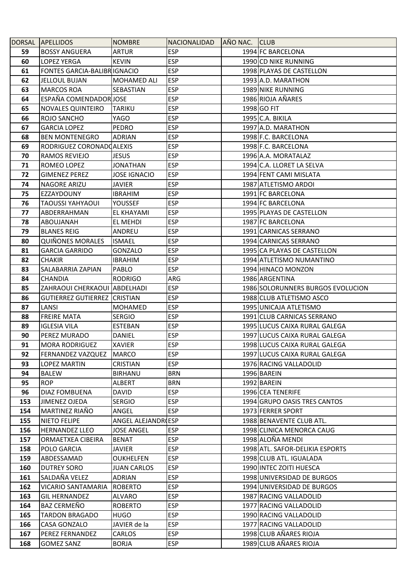|            | DORSAL APELLIDOS                       | <b>NOMBRE</b>               | NACIONALIDAD             | AÑO NAC. CLUB |                                                   |
|------------|----------------------------------------|-----------------------------|--------------------------|---------------|---------------------------------------------------|
| 59         | <b>BOSSY ANGUERA</b>                   | <b>ARTUR</b>                | <b>ESP</b>               |               | 1994 FC BARCELONA                                 |
| 60         | <b>LOPEZ YERGA</b>                     | <b>KEVIN</b>                | <b>ESP</b>               |               | 1990 CD NIKE RUNNING                              |
| 61         | <b>FONTES GARCIA-BALIBRIGNACIO</b>     |                             | <b>ESP</b>               |               | 1998 PLAYAS DE CASTELLON                          |
| 62         | <b>JELLOUL BUJAN</b>                   | MOHAMED ALI                 | <b>ESP</b>               |               | 1993 A.D. MARATHON                                |
| 63         | <b>MARCOS ROA</b>                      | SEBASTIAN                   | <b>ESP</b>               |               | 1989 NIKE RUNNING                                 |
| 64         | ESPAÑA COMENDADOR JOSE                 |                             | <b>ESP</b>               |               | 1986 RIOJA AÑARES                                 |
| 65         | <b>NOVALES QUINTEIRO</b>               | <b>TARIKU</b>               | <b>ESP</b>               |               | 1998 GO FIT                                       |
| 66         | ROJO SANCHO                            | YAGO                        | <b>ESP</b>               |               | 1995 C.A. BIKILA                                  |
| 67         | <b>GARCIA LOPEZ</b>                    | PEDRO                       | <b>ESP</b>               |               | 1997 A.D. MARATHON                                |
| 68         | <b>BEN MONTENEGRO</b>                  | ADRIAN                      | <b>ESP</b>               |               | 1998 F.C. BARCELONA                               |
| 69         | RODRIGUEZ CORONADOALEXIS               |                             | <b>ESP</b>               |               | 1998 F.C. BARCELONA                               |
| 70         | RAMOS REVIEJO                          | <b>JESUS</b>                | <b>ESP</b>               |               | 1996 A.A. MORATALAZ                               |
| 71         | ROMEO LOPEZ                            | <b>JONATHAN</b>             | <b>ESP</b>               |               | 1994 C.A. LLORET LA SELVA                         |
| 72         | <b>GIMENEZ PEREZ</b>                   | <b>JOSE IGNACIO</b>         | <b>ESP</b>               |               | 1994 FENT CAMI MISLATA                            |
| 74         | <b>NAGORE ARIZU</b>                    | <b>JAVIER</b>               | <b>ESP</b>               |               | 1987 ATLETISMO ARDOI                              |
| 75         | EZZAYDOUNY                             | <b>IBRAHIM</b>              | <b>ESP</b>               |               | 1991 FC BARCELONA                                 |
| 76         | <b>TAOUSSI YAHYAOUI</b>                | <b>YOUSSEF</b>              | <b>ESP</b>               |               | 1994 FC BARCELONA                                 |
| 77         | ABDERRAHMAN                            | EL KHAYAMI                  | <b>ESP</b>               |               | 1995 PLAYAS DE CASTELLON                          |
| 78         | ABOUJANAH                              | EL MEHDI                    | <b>ESP</b>               |               | 1987 FC BARCELONA                                 |
| 79         | <b>BLANES REIG</b>                     | ANDREU                      | <b>ESP</b>               |               | 1991 CARNICAS SERRANO                             |
| 80         | <b>QUIÑONES MORALES</b>                | <b>ISMAEL</b>               | <b>ESP</b>               |               | 1994 CARNICAS SERRANO                             |
| 81         | <b>GARCIA GARRIDO</b>                  | <b>GONZALO</b>              | <b>ESP</b>               |               | 1995 CA PLAYAS DE CASTELLON                       |
| 82         | <b>CHAKIR</b>                          | <b>IBRAHIM</b>              | <b>ESP</b>               |               | 1994 ATLETISMO NUMANTINO                          |
| 83         | SALABARRIA ZAPIAN                      | PABLO                       | <b>ESP</b>               |               | 1994 HINACO MONZON                                |
| 84         | <b>CHANDIA</b>                         | <b>RODRIGO</b>              | ARG                      |               | 1986 ARGENTINA                                    |
| 85         | ZAHRAOUI CHERKAOUI ABDELHADI           |                             | <b>ESP</b>               |               | 1986 SOLORUNNERS BURGOS EVOLUCION                 |
| 86         | GUTIERREZ GUTIERREZ CRISTIAN           |                             | <b>ESP</b>               |               | 1988 CLUB ATLETISMO ASCO                          |
| 87         | LANSI                                  | MOHAMED                     | <b>ESP</b>               |               | 1995 UNICAJA ATLETISMO                            |
| 88         | <b>FREIRE MATA</b>                     | <b>SERGIO</b>               | <b>ESP</b>               |               | 1991 CLUB CARNICAS SERRANO                        |
| 89         | <b>IGLESIA VILA</b>                    | <b>ESTEBAN</b>              | <b>ESP</b>               |               | 1995 LUCUS CAIXA RURAL GALEGA                     |
| 90         | PEREZ MURADO                           | DANIEL                      | <b>ESP</b>               |               | 1997 LUCUS CAIXA RURAL GALEGA                     |
| 91         | <b>MORA RODRIGUEZ</b>                  | <b>XAVIER</b>               | <b>ESP</b>               |               | 1998 LUCUS CAIXA RURAL GALEGA                     |
| 92         | <b>FERNANDEZ VAZQUEZ</b>               | <b>MARCO</b>                | <b>ESP</b>               |               | 1997 LUCUS CAIXA RURAL GALEGA                     |
| 93         | <b>LOPEZ MARTIN</b>                    | CRISTIAN                    | <b>ESP</b>               |               | 1976 RACING VALLADOLID                            |
| 94<br>95   | <b>BALEW</b><br><b>ROP</b>             | <b>BIRHANU</b>              | <b>BRN</b><br><b>BRN</b> |               | 1996 BAREIN                                       |
| 96         |                                        | ALBERT<br><b>DAVID</b>      | <b>ESP</b>               |               | 1992 BAREIN                                       |
|            | DIAZ FOMBUENA                          |                             |                          |               | 1996 CEA TENERIFE<br>1994 GRUPO OASIS TRES CANTOS |
| 153        | <b>JIMENEZ OJEDA</b><br>MARTINEZ RIAÑO | <b>SERGIO</b>               | <b>ESP</b><br><b>ESP</b> |               | 1973 FERRER SPORT                                 |
| 154<br>155 | <b>NIETO FELIPE</b>                    | ANGEL<br>ANGEL ALEJANDR(ESP |                          |               | 1988 BENAVENTE CLUB ATL.                          |
| 156        | <b>HERNANDEZ LLEO</b>                  | <b>JOSE ANGEL</b>           | <b>ESP</b>               |               | 1998 CLINICA MENORCA CAUG                         |
| 157        | ORMAETXEA CIBEIRA                      | <b>BENAT</b>                | ESP                      |               | 1998 ALOÑA MENDI                                  |
| 158        | POLO GARCIA                            | <b>JAVIER</b>               | ESP                      |               | 1998 ATL. SAFOR-DELIKIA ESPORTS                   |
| 159        | ABDESSAMAD                             | <b>OUKHELFEN</b>            | <b>ESP</b>               |               | 1998 CLUB ATL. IGUALADA                           |
| 160        | <b>DUTREY SORO</b>                     | <b>JUAN CARLOS</b>          | <b>ESP</b>               |               | 1990 INTEC ZOITI HUESCA                           |
| 161        | SALDAÑA VELEZ                          | ADRIAN                      | <b>ESP</b>               |               | 1998 UNIVERSIDAD DE BURGOS                        |
| 162        | <b>VICARIO SANTAMARIA</b>              | <b>ROBERTO</b>              | <b>ESP</b>               |               | 1994 UNIVERSIDAD DE BURGOS                        |
| 163        | <b>GIL HERNANDEZ</b>                   | <b>ALVARO</b>               | <b>ESP</b>               |               | 1987 RACING VALLADOLID                            |
| 164        | <b>BAZ CERMEÑO</b>                     | <b>ROBERTO</b>              | <b>ESP</b>               |               | 1977 RACING VALLADOLID                            |
| 165        | <b>TARDON BRAGADO</b>                  | <b>HUGO</b>                 | <b>ESP</b>               |               | 1990 RACING VALLADOLID                            |
| 166        | CASA GONZALO                           | JAVIER de la                | <b>ESP</b>               |               | 1977 RACING VALLADOLID                            |
| 167        | PEREZ FERNANDEZ                        | CARLOS                      | <b>ESP</b>               |               | 1998 CLUB AÑARES RIOJA                            |
| 168        | <b>GOMEZ SANZ</b>                      | <b>BORJA</b>                | <b>ESP</b>               |               | 1989 CLUB AÑARES RIOJA                            |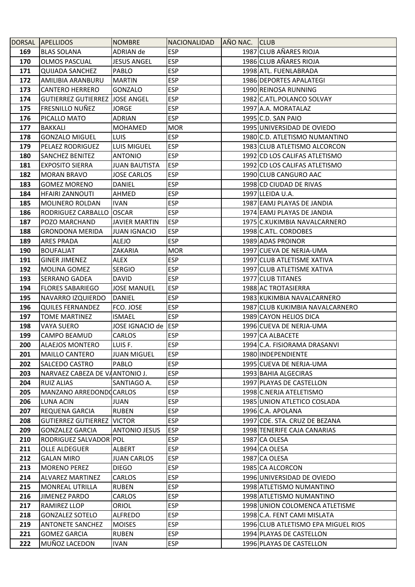|            | DORSAL APELLIDOS                             | <b>NOMBRE</b>                 | NACIONALIDAD             | AÑO NAC. CLUB |                                                  |
|------------|----------------------------------------------|-------------------------------|--------------------------|---------------|--------------------------------------------------|
| 169        | <b>BLAS SOLANA</b>                           | ADRIAN de                     | <b>ESP</b>               |               | 1987 CLUB AÑARES RIOJA                           |
| 170        | <b>OLMOS PASCUAL</b>                         | <b>JESUS ANGEL</b>            | <b>ESP</b>               |               | 1986 CLUB AÑARES RIOJA                           |
| 171        | <b>QUIJADA SANCHEZ</b>                       | PABLO                         | <b>ESP</b>               |               | 1998 ATL. FUENLABRADA                            |
| 172        | AMILIBIA ARANBURU                            | <b>MARTIN</b>                 | <b>ESP</b>               |               | 1986 DEPORTES APALATEGI                          |
| 173        | <b>CANTERO HERRERO</b>                       | <b>GONZALO</b>                | <b>ESP</b>               |               | 1990 REINOSA RUNNING                             |
| 174        | <b>GUTIERREZ GUTIERREZ JJOSE ANGEL</b>       |                               | <b>ESP</b>               |               | 1982 C.ATL.POLANCO SOLVAY                        |
| 175        | <b>FRESNILLO NUÑEZ</b>                       | <b>JORGE</b>                  | <b>ESP</b>               |               | 1997 A.A. MORATALAZ                              |
| 176        | PICALLO MATO                                 | ADRIAN                        | <b>ESP</b>               |               | 1995 C.D. SAN PAIO                               |
| 177        | <b>BAKKALI</b>                               | MOHAMED                       | <b>MOR</b>               |               | 1995 UNIVERSIDAD DE OVIEDO                       |
| 178        | <b>GONZALO MIGUEL</b>                        | <b>LUIS</b>                   | <b>ESP</b>               |               | 1980 C.D. ATLETISMO NUMANTINO                    |
| 179        | PELAEZ RODRIGUEZ                             | LUIS MIGUEL                   | <b>ESP</b>               |               | 1983 CLUB ATLETISMO ALCORCON                     |
| 180        | <b>SANCHEZ BENITEZ</b>                       | <b>ANTONIO</b>                | <b>ESP</b>               |               | 1992 CD LOS CALIFAS ATLETISMO                    |
| 181        | <b>EXPOSITO SIERRA</b>                       | <b>JUAN BAUTISTA</b>          | <b>ESP</b>               |               | 1992 CD LOS CALIFAS ATLETISMO                    |
| 182        | <b>MORAN BRAVO</b>                           | <b>JOSE CARLOS</b>            | <b>ESP</b>               |               | 1990 CLUB CANGURO AAC                            |
| 183        | <b>GOMEZ MORENO</b>                          | DANIEL                        | <b>ESP</b>               |               | 1998 CD CIUDAD DE RIVAS                          |
| 184        | <b>HFAIRI ZANNOUTI</b>                       | AHMED                         | <b>ESP</b>               |               | 1997 LLEIDA U.A.                                 |
| 185        | MOLINERO ROLDAN                              | <b>IVAN</b>                   | <b>ESP</b>               |               | 1987 EAMJ PLAYAS DE JANDIA                       |
| 186        | RODRIGUEZ CARBALLO                           | <b>OSCAR</b>                  | <b>ESP</b>               |               | 1974 EAMJ PLAYAS DE JANDIA                       |
| 187        | POZO MARCHAND                                | <b>JAVIER MARTIN</b>          | <b>ESP</b>               |               | 1975 C.KUKIMBIA NAVALCARNERO                     |
| 188        | <b>GRONDONA MERIDA</b>                       | <b>JUAN IGNACIO</b>           | <b>ESP</b>               |               | 1998 C.ATL. CORDOBES                             |
| 189        | <b>ARES PRADA</b>                            | <b>ALEJO</b>                  | <b>ESP</b>               |               | 1989 ADAS PROINOR                                |
| 190        | <b>BOUFALIAT</b>                             | ZAKARIA                       | <b>MOR</b>               |               | 1997 CUEVA DE NERJA-UMA                          |
| 191        | <b>GINER JIMENEZ</b>                         | ALEX                          | <b>ESP</b>               |               | 1997 CLUB ATLETISME XATIVA                       |
| 192        | MOLINA GOMEZ                                 | <b>SERGIO</b>                 | <b>ESP</b>               |               | 1997 CLUB ATLETISME XATIVA                       |
| 193        | <b>SERRANO GADEA</b>                         | DAVID                         | <b>ESP</b>               |               | 1977 CLUB TITANES                                |
| 194        | <b>FLORES SABARIEGO</b>                      | <b>JOSE MANUEL</b>            | <b>ESP</b>               |               | 1988 AC TROTASIERRA                              |
| 195        | NAVARRO IZQUIERDO                            | <b>DANIEL</b>                 | <b>ESP</b>               |               | 1983 KUKIMBIA NAVALCARNERO                       |
| 196        | <b>QUILES FERNANDEZ</b>                      | FCO. JOSE                     | <b>ESP</b>               |               | 1987 CLUB KUKIMBIA NAVALCARNERO                  |
| 197        | <b>TOME MARTINEZ</b>                         | <b>ISMAEL</b>                 | <b>ESP</b>               |               | 1989 CAYON HELIOS DICA                           |
| 198        | VAYA SUERO                                   | JOSE IGNACIO de ESP           |                          |               | 1996 CUEVA DE NERJA-UMA                          |
| 199        | CAMPO BEAMUD                                 | <b>CARLOS</b>                 | <b>ESP</b>               |               | 1997 CA ALBACETE                                 |
| 200        | <b>ALAEJOS MONTERO</b>                       | LUIS F.                       | <b>ESP</b>               |               | 1994 C.A. FISIORAMA DRASANVI                     |
| 201        | <b>MAILLO CANTERO</b>                        | <b>JUAN MIGUEL</b>            | <b>ESP</b>               |               | 1980 INDEPENDIENTE                               |
| 202        | <b>SALCEDO CASTRO</b>                        | <b>PABLO</b>                  | <b>ESP</b>               |               | 1995 CUEVA DE NERJA-UMA                          |
| 203        | NARVAEZ CABEZA DE VAANTONIO J.               |                               | <b>ESP</b>               |               | 1993 BAHIA ALGECIRAS                             |
| 204        | <b>RUIZ ALIAS</b>                            | SANTIAGO A.                   | <b>ESP</b>               |               | 1997 PLAYAS DE CASTELLON                         |
| 205        | MANZANO ARREDONDOCARLOS                      |                               | <b>ESP</b>               |               | 1998 C.NERJA ATELETISMO                          |
| 206        | LUNA ACIN                                    | JUAN                          | <b>ESP</b>               |               | 1985 UNION ATLETICO COSLADA<br>1996 C.A. APOLANA |
| 207        | REQUENA GARCIA<br><b>GUTIERREZ GUTIERREZ</b> | <b>RUBEN</b><br><b>VICTOR</b> | <b>ESP</b><br><b>ESP</b> |               | 1997 CDE. STA. CRUZ DE BEZANA                    |
| 208<br>209 | <b>GONZALEZ GARCIA</b>                       | <b>ANTONIO JESUS</b>          | <b>ESP</b>               |               | 1998 TENERIFE CAJA CANARIAS                      |
| 210        | RODRIGUEZ SALVADOR POL                       |                               | <b>ESP</b>               |               | 1987 CA OLESA                                    |
| 211        | OLLE ALDEGUER                                | <b>ALBERT</b>                 | <b>ESP</b>               |               | 1994 CA OLESA                                    |
| 212        | <b>GALAN MIRO</b>                            | <b>JUAN CARLOS</b>            | <b>ESP</b>               |               | 1987 CA OLESA                                    |
| 213        | <b>MORENO PEREZ</b>                          | <b>DIEGO</b>                  | <b>ESP</b>               |               | 1985 CA ALCORCON                                 |
| 214        | <b>ALVAREZ MARTINEZ</b>                      | <b>CARLOS</b>                 | <b>ESP</b>               |               | 1996 UNIVERSIDAD DE OVIEDO                       |
| 215        | <b>MONREAL UTRILLA</b>                       | <b>RUBEN</b>                  | <b>ESP</b>               |               | 1998 ATLETISMO NUMANTINO                         |
| 216        | <b>JIMENEZ PARDO</b>                         | <b>CARLOS</b>                 | <b>ESP</b>               |               | 1998 ATLETISMO NUMANTINO                         |
| 217        | RAMIREZ LLOP                                 | ORIOL                         | <b>ESP</b>               |               | 1998 UNION COLOMENCA ATLETISME                   |
| 218        | <b>GONZALEZ SOTELO</b>                       | <b>ALFREDO</b>                | <b>ESP</b>               |               | 1998 C.A. FENT CAMI MISLATA                      |
| 219        | <b>ANTONETE SANCHEZ</b>                      | <b>MOISES</b>                 | <b>ESP</b>               |               | 1996 CLUB ATLETISMO EPA MIGUEL RIOS              |
| 221        | <b>GOMEZ GARCIA</b>                          | <b>RUBEN</b>                  | <b>ESP</b>               |               | 1994 PLAYAS DE CASTELLON                         |
| 222        | MUÑOZ LACEDON                                | <b>IVAN</b>                   | <b>ESP</b>               |               | 1996 PLAYAS DE CASTELLON                         |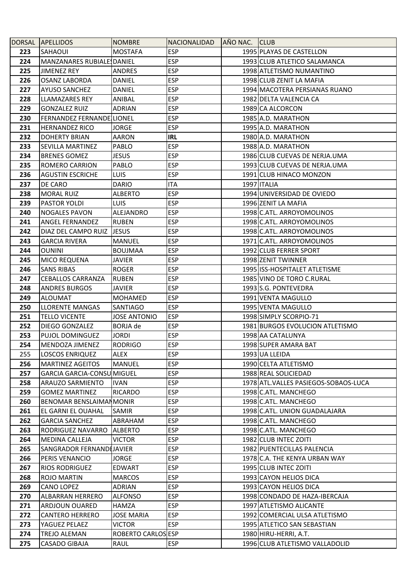|            | DORSAL APELLIDOS                                     | <b>NOMBRE</b>       | NACIONALIDAD             | AÑO NAC. CLUB |                                                               |
|------------|------------------------------------------------------|---------------------|--------------------------|---------------|---------------------------------------------------------------|
| 223        | SAHAOUI                                              | <b>MOSTAFA</b>      | <b>ESP</b>               |               | 1995 PLAYAS DE CASTELLON                                      |
| 224        | MANZANARES RUBIALESDANIEL                            |                     | <b>ESP</b>               |               | 1993 CLUB ATLETICO SALAMANCA                                  |
| 225        | <b>JIMENEZ REY</b>                                   | <b>ANDRES</b>       | <b>ESP</b>               |               | 1998 ATLETISMO NUMANTINO                                      |
| 226        | <b>OSANZ LABORDA</b>                                 | DANIEL              | <b>ESP</b>               |               | 1998 CLUB ZENIT LA MAFIA                                      |
| 227        | <b>AYUSO SANCHEZ</b>                                 | <b>DANIEL</b>       | <b>ESP</b>               |               | 1994 MACOTERA PERSIANAS RUANO                                 |
| 228        | <b>LLAMAZARES REY</b>                                | ANIBAL              | <b>ESP</b>               |               | 1982 DELTA VALENCIA CA                                        |
| 229        | <b>GONZALEZ RUIZ</b>                                 | ADRIAN              | <b>ESP</b>               |               | 1989 CA ALCORCON                                              |
| 230        | FERNANDEZ FERNANDE LIONEL                            |                     | <b>ESP</b>               |               | 1985 A.D. MARATHON                                            |
| 231        | <b>HERNANDEZ RICO</b>                                | <b>JORGE</b>        | <b>ESP</b>               |               | 1995 A.D. MARATHON                                            |
| 232        | <b>DOHERTY BRIAN</b>                                 | <b>AARON</b>        | <b>IRL</b>               |               | 1980 A.D. MARATHON                                            |
| 233        | <b>SEVILLA MARTINEZ</b>                              | PABLO               | <b>ESP</b>               |               | 1988 A.D. MARATHON                                            |
| 234        | <b>BRENES GOMEZ</b>                                  | <b>JESUS</b>        | <b>ESP</b>               |               | 1986 CLUB CUEVAS DE NERJA.UMA                                 |
| 235        | <b>ROMERO CARRION</b>                                | PABLO               | <b>ESP</b>               |               | 1993 CLUB CUEVAS DE NERJA.UMA                                 |
| 236        | <b>AGUSTIN ESCRICHE</b>                              | <b>LUIS</b>         | <b>ESP</b>               |               | 1991 CLUB HINACO MONZON                                       |
| 237        | DE CARO                                              | <b>DARIO</b>        | ITA                      |               | 1997 ITALIA                                                   |
| 238        | <b>MORAL RUIZ</b>                                    | <b>ALBERTO</b>      | <b>ESP</b>               |               | 1994 UNIVERSIDAD DE OVIEDO                                    |
| 239        | PASTOR YOLDI                                         | <b>LUIS</b>         | <b>ESP</b>               |               | 1996 ZENIT LA MAFIA                                           |
| 240        | <b>NOGALES PAVON</b>                                 | ALEJANDRO           | <b>ESP</b>               |               | 1998 C.ATL. ARROYOMOLINOS                                     |
| 241        | ANGEL FERNANDEZ                                      | <b>RUBEN</b>        | <b>ESP</b>               |               | 1998 C.ATL. ARROYOMOLINOS                                     |
| 242        | DIAZ DEL CAMPO RUIZ                                  | <b>JESUS</b>        | <b>ESP</b>               |               | 1998 C.ATL. ARROYOMOLINOS                                     |
| 243        | <b>GARCIA RIVERA</b>                                 | MANUEL              | <b>ESP</b>               |               | 1971 C.ATL. ARROYOMOLINOS                                     |
| 244        | <b>OUNINI</b>                                        | <b>BOUJMAA</b>      | <b>ESP</b>               |               | 1992 CLUB FERRER SPORT                                        |
| 245        | <b>MICO REQUENA</b>                                  | JAVIER              | <b>ESP</b>               |               | 1998 ZENIT TWINNER                                            |
| 246        | <b>SANS RIBAS</b>                                    | <b>ROGER</b>        | <b>ESP</b>               |               | 1995 ISS-HOSPITALET ATLETISME                                 |
| 247        | <b>CEBALLOS CARRANZA</b>                             | <b>RUBEN</b>        | <b>ESP</b>               |               | 1985 VINO DE TORO C.RURAL                                     |
| 248        | <b>ANDRES BURGOS</b>                                 | JAVIER              | <b>ESP</b>               |               | 1993 S.G. PONTEVEDRA                                          |
| 249        | <b>ALOUMAT</b>                                       | MOHAMED             | <b>ESP</b>               |               | 1991 VENTA MAGULLO                                            |
| 250        | <b>LLORENTE MANGAS</b>                               | SANTIAGO            | <b>ESP</b>               |               | 1995 VENTA MAGULLO                                            |
| 251        | <b>TELLO VICENTE</b>                                 | <b>JOSE ANTONIO</b> | <b>ESP</b>               |               | 1998 SIMPLY SCORPIO-71                                        |
| 252        | DIEGO GONZALEZ                                       | BORJA de            | <b>ESP</b>               |               | 1981 BURGOS EVOLUCION ATLETISMO                               |
| 253        | PUJOL DOMINGUEZ                                      | <b>JORDI</b>        | <b>ESP</b>               |               | 1998 AA CATALUNYA                                             |
| 254        | MENDOZA JIMENEZ                                      | <b>RODRIGO</b>      | <b>ESP</b>               |               | 1998 SUPER AMARA BAT                                          |
| 255        | <b>LOSCOS ENRIQUEZ</b>                               | <b>ALEX</b>         | <b>ESP</b>               |               | 1993 UA LLEIDA                                                |
| 256        | <b>MARTINEZ AGEITOS</b>                              | <b>MANUEL</b>       | <b>ESP</b>               |               | 1990 CELTA ATLETISMO                                          |
| 257        | <b>GARCIA GARCIA-CONSUMIGUEL</b>                     |                     | <b>ESP</b>               |               | 1988 REAL SOLICIEDAD<br>1978 ATL. VALLES PASIEGOS-SOBAOS-LUCA |
| 258        | ARAUZO SARMIENTO                                     | <b>IVAN</b>         | <b>ESP</b>               |               |                                                               |
| 259        | <b>GOMEZ MARTINEZ</b>                                | <b>RICARDO</b>      | <b>ESP</b>               |               | 1998 C.ATL. MANCHEGO                                          |
| 260<br>261 | <b>BENOMAR BENSLAIMANMONIR</b><br>EL GARNI EL OUAHAL | <b>SAMIR</b>        | <b>ESP</b><br><b>ESP</b> |               | 1998 C.ATL. MANCHEGO<br>1998 C.ATL. UNION GUADALAJARA         |
| 262        | <b>GARCIA SANCHEZ</b>                                | ABRAHAM             | <b>ESP</b>               |               | 1998 C.ATL. MANCHEGO                                          |
| 263        | RODRIGUEZ NAVARRO                                    | <b>ALBERTO</b>      | <b>ESP</b>               |               | 1998 C.ATL. MANCHEGO                                          |
| 264        | <b>MEDINA CALLEJA</b>                                | <b>VICTOR</b>       | <b>ESP</b>               |               | 1982 CLUB INTEC ZOITI                                         |
| 265        | SANGRADOR FERNANDIJAVIER                             |                     | <b>ESP</b>               |               | 1982 PUENTECILLAS PALENCIA                                    |
| 266        | PERIS VENANCIO                                       | <b>JORGE</b>        | <b>ESP</b>               |               | 1978 C.A. THE KENYA URBAN WAY                                 |
| 267        | <b>RIOS RODRIGUEZ</b>                                | <b>EDWART</b>       | <b>ESP</b>               |               | 1995 CLUB INTEC ZOITI                                         |
| 268        | <b>ROJO MARTIN</b>                                   | <b>MARCOS</b>       | <b>ESP</b>               |               | 1993 CAYON HELIOS DICA                                        |
| 269        | <b>CANO LOPEZ</b>                                    | <b>ADRIAN</b>       | <b>ESP</b>               |               | 1993 CAYON HELIOS DICA                                        |
| 270        | <b>ALBARRAN HERRERO</b>                              | <b>ALFONSO</b>      | <b>ESP</b>               |               | 1998 CONDADO DE HAZA-IBERCAJA                                 |
| 271        | <b>ARDJOUN OUARED</b>                                | HAMZA               | <b>ESP</b>               |               | 1997 ATLETISMO ALICANTE                                       |
| 272        | <b>CANTERO HERRERO</b>                               | <b>JOSE MARIA</b>   | <b>ESP</b>               |               | 1992 COMERCIAL ULSA ATLETISMO                                 |
| 273        | YAGUEZ PELAEZ                                        | <b>VICTOR</b>       | <b>ESP</b>               |               | 1995 ATLETICO SAN SEBASTIAN                                   |
| 274        | <b>TREJO ALEMAN</b>                                  | ROBERTO CARLOS ESP  |                          |               | 1980 HIRU-HERRI, A.T.                                         |
| 275        | CASADO GIBAJA                                        | RAUL                | <b>ESP</b>               |               | 1996 CLUB ATLETISMO VALLADOLID                                |